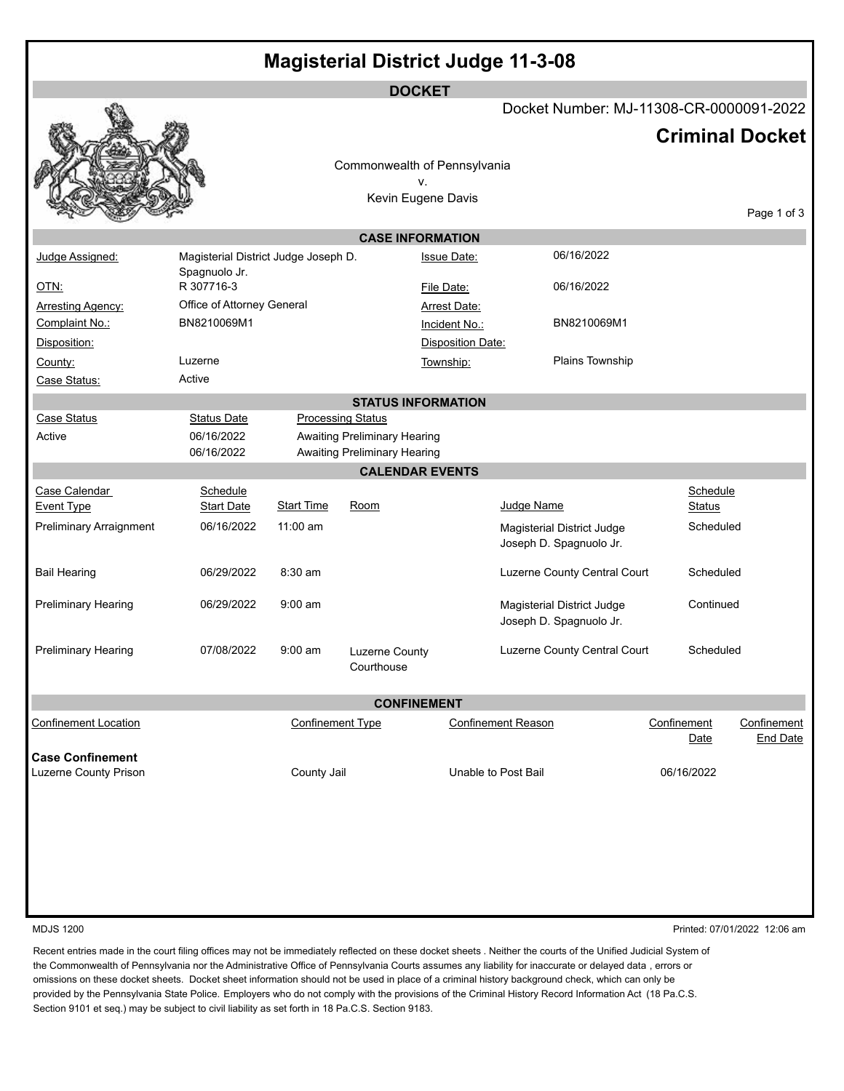| <b>Magisterial District Judge 11-3-08</b> |
|-------------------------------------------|
|                                           |

|                                    |                                      |                         |                                                                            | <b>DOCKET</b>             |                                                       |  |                           |                                |  |
|------------------------------------|--------------------------------------|-------------------------|----------------------------------------------------------------------------|---------------------------|-------------------------------------------------------|--|---------------------------|--------------------------------|--|
|                                    |                                      |                         |                                                                            |                           | Docket Number: MJ-11308-CR-0000091-2022               |  |                           |                                |  |
|                                    |                                      |                         |                                                                            |                           |                                                       |  |                           | <b>Criminal Docket</b>         |  |
|                                    |                                      |                         |                                                                            |                           |                                                       |  |                           |                                |  |
|                                    |                                      |                         | Commonwealth of Pennsylvania                                               |                           |                                                       |  |                           |                                |  |
|                                    |                                      |                         |                                                                            | v.<br>Kevin Eugene Davis  |                                                       |  |                           |                                |  |
|                                    |                                      |                         |                                                                            |                           |                                                       |  |                           | Page 1 of 3                    |  |
| <b>CASE INFORMATION</b>            |                                      |                         |                                                                            |                           |                                                       |  |                           |                                |  |
| Judge Assigned:                    | Magisterial District Judge Joseph D. |                         |                                                                            | <b>Issue Date:</b>        | 06/16/2022                                            |  |                           |                                |  |
|                                    | Spagnuolo Jr.                        |                         |                                                                            |                           |                                                       |  |                           |                                |  |
| <u>OTN:</u>                        | R 307716-3                           |                         |                                                                            | File Date:                | 06/16/2022                                            |  |                           |                                |  |
| <b>Arresting Agency:</b>           | Office of Attorney General           |                         |                                                                            | <b>Arrest Date:</b>       |                                                       |  |                           |                                |  |
| Complaint No.:                     | BN8210069M1                          |                         |                                                                            | Incident No.:             | BN8210069M1                                           |  |                           |                                |  |
| Disposition:                       |                                      |                         |                                                                            | <b>Disposition Date:</b>  |                                                       |  |                           |                                |  |
| County:                            | Luzerne                              |                         |                                                                            | Township:                 | Plains Township                                       |  |                           |                                |  |
| Case Status:                       | Active                               |                         |                                                                            |                           |                                                       |  |                           |                                |  |
|                                    |                                      |                         |                                                                            | <b>STATUS INFORMATION</b> |                                                       |  |                           |                                |  |
| Case Status                        | <b>Status Date</b>                   |                         | <b>Processing Status</b>                                                   |                           |                                                       |  |                           |                                |  |
| Active                             | 06/16/2022<br>06/16/2022             |                         | <b>Awaiting Preliminary Hearing</b><br><b>Awaiting Preliminary Hearing</b> |                           |                                                       |  |                           |                                |  |
|                                    |                                      |                         |                                                                            | <b>CALENDAR EVENTS</b>    |                                                       |  |                           |                                |  |
| Case Calendar<br><b>Event Type</b> | Schedule<br><b>Start Date</b>        | <b>Start Time</b>       | Room                                                                       |                           | Judge Name                                            |  | Schedule<br><b>Status</b> |                                |  |
| Preliminary Arraignment            | 06/16/2022                           | $11:00$ am              |                                                                            |                           | Magisterial District Judge<br>Joseph D. Spagnuolo Jr. |  | Scheduled                 |                                |  |
| <b>Bail Hearing</b>                | 06/29/2022                           | $8:30$ am               |                                                                            |                           | Luzerne County Central Court                          |  | Scheduled                 |                                |  |
| <b>Preliminary Hearing</b>         | 06/29/2022                           | $9:00$ am               |                                                                            |                           | Magisterial District Judge<br>Joseph D. Spagnuolo Jr. |  | Continued                 |                                |  |
| Preliminary Hearing                | 07/08/2022                           | $9:00$ am               | Luzerne County<br>Courthouse                                               |                           | Luzerne County Central Court                          |  | Scheduled                 |                                |  |
|                                    |                                      |                         | <b>CONFINEMENT</b>                                                         |                           |                                                       |  |                           |                                |  |
| <b>Confinement Location</b>        |                                      | <b>Confinement Type</b> |                                                                            |                           | <b>Confinement Reason</b>                             |  | Confinement<br>Date       | Confinement<br><b>End Date</b> |  |
| <b>Case Confinement</b>            |                                      |                         |                                                                            |                           |                                                       |  |                           |                                |  |
| Luzerne County Prison              |                                      | County Jail             |                                                                            |                           | Unable to Post Bail                                   |  | 06/16/2022                |                                |  |
|                                    |                                      |                         |                                                                            |                           |                                                       |  |                           |                                |  |
|                                    |                                      |                         |                                                                            |                           |                                                       |  |                           |                                |  |

MDJS 1200 Printed: 07/01/2022 12:06 am

Recent entries made in the court filing offices may not be immediately reflected on these docket sheets . Neither the courts of the Unified Judicial System of the Commonwealth of Pennsylvania nor the Administrative Office of Pennsylvania Courts assumes any liability for inaccurate or delayed data , errors or omissions on these docket sheets. Docket sheet information should not be used in place of a criminal history background check, which can only be provided by the Pennsylvania State Police. Employers who do not comply with the provisions of the Criminal History Record Information Act (18 Pa.C.S. Section 9101 et seq.) may be subject to civil liability as set forth in 18 Pa.C.S. Section 9183.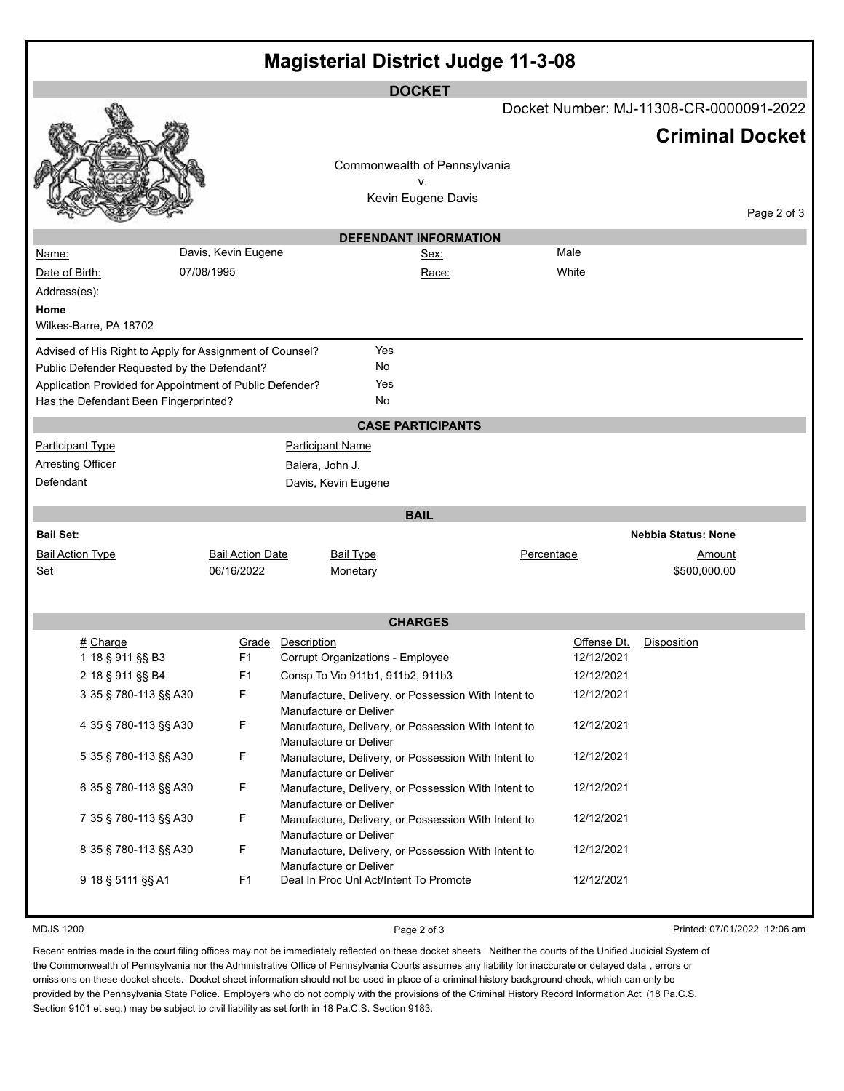| <b>Magisterial District Judge 11-3-08</b>                |                         |                                        |                                                          |             |                            |  |  |  |  |  |
|----------------------------------------------------------|-------------------------|----------------------------------------|----------------------------------------------------------|-------------|----------------------------|--|--|--|--|--|
|                                                          |                         |                                        | <b>DOCKET</b><br>Docket Number: MJ-11308-CR-0000091-2022 |             |                            |  |  |  |  |  |
|                                                          |                         |                                        |                                                          |             | <b>Criminal Docket</b>     |  |  |  |  |  |
|                                                          |                         |                                        | Commonwealth of Pennsylvania                             |             |                            |  |  |  |  |  |
|                                                          |                         |                                        | ٧.                                                       |             |                            |  |  |  |  |  |
|                                                          |                         |                                        | Kevin Eugene Davis                                       |             |                            |  |  |  |  |  |
| Page 2 of 3                                              |                         |                                        |                                                          |             |                            |  |  |  |  |  |
| Name:                                                    | Davis, Kevin Eugene     |                                        | <b>DEFENDANT INFORMATION</b><br>Sex:                     | Male        |                            |  |  |  |  |  |
| Date of Birth:                                           | 07/08/1995              |                                        | Race:                                                    | White       |                            |  |  |  |  |  |
| Address(es):                                             |                         |                                        |                                                          |             |                            |  |  |  |  |  |
| Home                                                     |                         |                                        |                                                          |             |                            |  |  |  |  |  |
| Wilkes-Barre, PA 18702                                   |                         |                                        |                                                          |             |                            |  |  |  |  |  |
| Advised of His Right to Apply for Assignment of Counsel? |                         | Yes                                    |                                                          |             |                            |  |  |  |  |  |
| Public Defender Requested by the Defendant?              |                         | No                                     |                                                          |             |                            |  |  |  |  |  |
| Application Provided for Appointment of Public Defender? |                         | Yes                                    |                                                          |             |                            |  |  |  |  |  |
| Has the Defendant Been Fingerprinted?                    |                         | No                                     |                                                          |             |                            |  |  |  |  |  |
|                                                          |                         |                                        | <b>CASE PARTICIPANTS</b>                                 |             |                            |  |  |  |  |  |
| <b>Participant Type</b>                                  |                         | <b>Participant Name</b>                |                                                          |             |                            |  |  |  |  |  |
| <b>Arresting Officer</b>                                 |                         | Baiera, John J.                        |                                                          |             |                            |  |  |  |  |  |
| Defendant                                                |                         | Davis, Kevin Eugene                    |                                                          |             |                            |  |  |  |  |  |
|                                                          |                         |                                        | <b>BAIL</b>                                              |             |                            |  |  |  |  |  |
| <b>Bail Set:</b>                                         |                         |                                        |                                                          |             | <b>Nebbia Status: None</b> |  |  |  |  |  |
| <b>Bail Action Type</b>                                  | <b>Bail Action Date</b> | <b>Bail Type</b>                       |                                                          | Percentage  | <u>Amount</u>              |  |  |  |  |  |
| Set                                                      | 06/16/2022              | Monetary                               |                                                          |             | \$500,000.00               |  |  |  |  |  |
|                                                          |                         |                                        |                                                          |             |                            |  |  |  |  |  |
|                                                          |                         |                                        | <b>CHARGES</b>                                           |             |                            |  |  |  |  |  |
| $#$ Charge                                               | Grade                   | Description                            |                                                          | Offense Dt. | Disposition                |  |  |  |  |  |
| 1 18 § 911 §§ B3                                         | F <sub>1</sub>          | Corrupt Organizations - Employee       |                                                          | 12/12/2021  |                            |  |  |  |  |  |
| 2 18 § 911 §§ B4                                         | F <sub>1</sub>          | Consp To Vio 911b1, 911b2, 911b3       |                                                          | 12/12/2021  |                            |  |  |  |  |  |
| 3 35 § 780-113 §§ A30                                    | F                       |                                        | Manufacture, Delivery, or Possession With Intent to      | 12/12/2021  |                            |  |  |  |  |  |
| 4 35 § 780-113 §§ A30                                    | F                       | Manufacture or Deliver                 | Manufacture, Delivery, or Possession With Intent to      | 12/12/2021  |                            |  |  |  |  |  |
|                                                          |                         | Manufacture or Deliver                 |                                                          |             |                            |  |  |  |  |  |
| 5 35 § 780-113 §§ A30                                    | F                       |                                        | Manufacture, Delivery, or Possession With Intent to      | 12/12/2021  |                            |  |  |  |  |  |
| 6 35 § 780-113 §§ A30                                    | F                       | Manufacture or Deliver                 | Manufacture, Delivery, or Possession With Intent to      | 12/12/2021  |                            |  |  |  |  |  |
|                                                          |                         | Manufacture or Deliver                 |                                                          |             |                            |  |  |  |  |  |
| 7 35 § 780-113 §§ A30                                    | F                       |                                        | Manufacture, Delivery, or Possession With Intent to      | 12/12/2021  |                            |  |  |  |  |  |
| 8 35 § 780-113 §§ A30                                    |                         | Manufacture or Deliver                 |                                                          | 12/12/2021  |                            |  |  |  |  |  |
|                                                          | F                       | Manufacture or Deliver                 | Manufacture, Delivery, or Possession With Intent to      |             |                            |  |  |  |  |  |
| 9 18 § 5111 §§ A1                                        | F <sub>1</sub>          | Deal In Proc Unl Act/Intent To Promote |                                                          | 12/12/2021  |                            |  |  |  |  |  |
|                                                          |                         |                                        |                                                          |             |                            |  |  |  |  |  |

MDJS 1200 **Page 2 of 3** Printed: 07/01/2022 12:06 am

Recent entries made in the court filing offices may not be immediately reflected on these docket sheets . Neither the courts of the Unified Judicial System of the Commonwealth of Pennsylvania nor the Administrative Office of Pennsylvania Courts assumes any liability for inaccurate or delayed data , errors or omissions on these docket sheets. Docket sheet information should not be used in place of a criminal history background check, which can only be provided by the Pennsylvania State Police. Employers who do not comply with the provisions of the Criminal History Record Information Act (18 Pa.C.S. Section 9101 et seq.) may be subject to civil liability as set forth in 18 Pa.C.S. Section 9183.